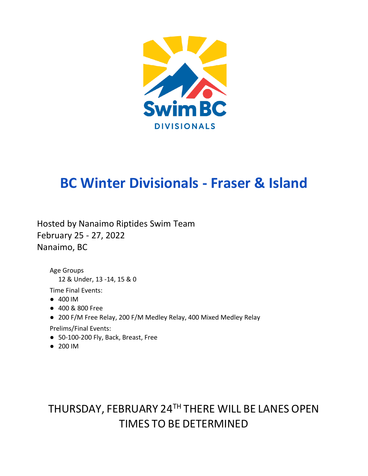

# **BC Winter Divisionals - Fraser & Island**

Hosted by Nanaimo Riptides Swim Team February 25 - 27, 2022 Nanaimo, BC

Age Groups 12 & Under, 13 -14, 15 & 0

Time Final Events:

- 400 IM
- 400 & 800 Free
- 200 F/M Free Relay, 200 F/M Medley Relay, 400 Mixed Medley Relay

Prelims/Final Events:

- 50-100-200 Fly, Back, Breast, Free
- 200 IM

# THURSDAY, FEBRUARY 24TH THERE WILL BE LANES OPEN TIMES TO BE DETERMINED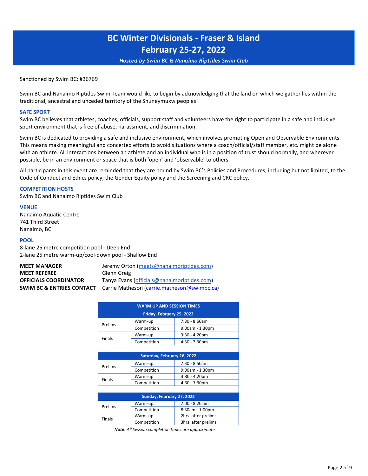*Hosted by Swim BC & Nanaimo Riptides Swim Club*

Sanctioned by Swim BC: #36769

Swim BC and Nanaimo Riptides Swim Team would like to begin by acknowledging that the land on which we gather lies within the traditional, ancestral and unceded territory of the Snuneymuxw peoples.

#### **SAFE SPORT**

Swim BC believes that athletes, coaches, officials, support staff and volunteers have the right to participate in a safe and inclusive sport environment that is free of abuse, harassment, and discrimination.

Swim BC is dedicated to providing a safe and inclusive environment, which involves promoting Open and Observable Environments. This means making meaningful and concerted efforts to avoid situations where a coach/official/staff member, etc. might be alone with an athlete. All interactions between an athlete and an individual who is in a position of trust should normally, and wherever possible, be in an environment or space that is both 'open' and 'observable' to others.

All participants in this event are reminded that they are bound by Swim BC's Policies and Procedures, including but not limited, to the Code of Conduct and Ethics policy, the Gender Equity policy and the Screening and CRC policy.

#### **COMPETITION HOSTS**

Swim BC and Nanaimo Riptides Swim Club

#### **VENUE**

Nanaimo Aquatic Centre 741 Third Street Nanaimo, BC

#### **POOL**

8-lane 25 metre competition pool - Deep End 2-lane 25 metre warm-up/cool-down pool - Shallow End

| <b>MEET MANAGER</b>                  | Jeremy Orton (meets@nanaimoriptides.com)    |
|--------------------------------------|---------------------------------------------|
| <b>MEET REFEREE</b>                  | Glenn Greig                                 |
| <b>OFFICIALS COORDINATOR</b>         | Tanya Evans (officials@nanaimoriptides.com) |
| <b>SWIM BC &amp; ENTRIES CONTACT</b> | Carrie Matheson (carrie.matheson@swimbc.ca) |

| <b>WARM UP AND SESSION TIMES</b> |                           |                     |  |  |  |  |  |  |
|----------------------------------|---------------------------|---------------------|--|--|--|--|--|--|
| Friday, February 25, 2022        |                           |                     |  |  |  |  |  |  |
| Prelims                          | Warm-up                   | 7:30 - 8:50am       |  |  |  |  |  |  |
|                                  | Competition               | $9:00$ am - 1:30pm  |  |  |  |  |  |  |
| <b>Finals</b>                    | Warm-up                   | 3:30 - 4:20pm       |  |  |  |  |  |  |
|                                  | Competition               | 4:30 - 7:30pm       |  |  |  |  |  |  |
|                                  |                           |                     |  |  |  |  |  |  |
| Saturday, February 26, 2022      |                           |                     |  |  |  |  |  |  |
| Prelims                          | Warm-up                   | 7:30 - 8:50am       |  |  |  |  |  |  |
|                                  | Competition               | $9:00$ am - 1:30pm  |  |  |  |  |  |  |
| <b>Finals</b>                    | Warm-up                   | $3:30 - 4:20$ pm    |  |  |  |  |  |  |
|                                  | Competition               | 4:30 - 7:30pm       |  |  |  |  |  |  |
|                                  |                           |                     |  |  |  |  |  |  |
|                                  | Sunday, February 27, 2022 |                     |  |  |  |  |  |  |
| Prelims                          | Warm-up                   | 7:00 - 8:20 am      |  |  |  |  |  |  |
|                                  | Competition               | 8:30am - 1:00pm     |  |  |  |  |  |  |
| Finals                           | Warm-up                   | 2hrs. after prelims |  |  |  |  |  |  |
|                                  | Competition               | 3hrs. after prelims |  |  |  |  |  |  |

*Note: All Session completion times are approximate*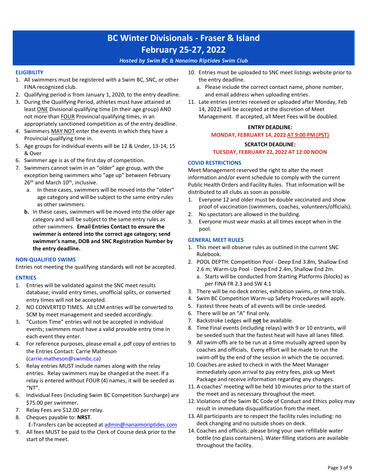### *Hosted by Swim BC & Nanaimo Riptides Swim Club*

#### **ELIGIBILITY**

- 1. All swimmers must be registered with a Swim BC, SNC, or other FINA recognized club.
- 2. Qualifying period is from January 1, 2020, to the entry deadline.
- 3. During the Qualifying Period, athletes must have attained at least ONE Divisional qualifying time (in their age group) AND not more than FOUR Provincial qualifying times, in an appropriately sanctioned competition as of the entry deadline.
- 4. Swimmers MAY NOT enter the events in which they have a Provincial qualifying time in.
- 5. Age groups for individual events will be 12 & Under, 13-14, 15 & Over
- 6. Swimmer age is as of the first day of competition.
- 7. Swimmers cannot swim in an "older" age group, with the exception being swimmers who "age up" between February 26<sup>th</sup> and March 10<sup>th</sup>, inclusive.
	- a. In these cases, swimmers will be moved into the "older" age category and will be subject to the same entry rules as other swimmers.
	- **b.** In these cases, swimmers will be moved into the older age category and will be subject to the same entry rules as other swimmers. **Email Entries Contact to ensure the swimmer is entered into the correct age category; send swimmer's name, DOB and SNC Registration Number by the entry deadline.**

#### **NON-QUALIFIED SWIMS**

Entries not meeting the qualifying standards will not be accepted.

#### **ENTRIES**

- 1. Entries will be validated against the SNC meet results database; invalid entry times, unofficial splits, or converted entry times will not be accepted.
- 2. NO CONVERTED TIMES. All LCM entries will be converted to SCM by meet management and seeded accordingly.
- 3. "Custom Time" entries will not be accepted in individual events; swimmers must have a valid provable entry time in each event they enter.
- 4. For reference purposes, please email a .pdf copy of entries to the Entries Contact: Carrie Matheson [\(carrie.matheson@swimbc.ca\)](mailto:carrie.matheson@swimbc.ca)
- 5. [Relay entries MUST incl](mailto:carrie.matheson@swimbc.ca)ude names along with the relay entries. Relay swimmers may be changed at the meet. If a relay is entered without FOUR (4) names, it will be seeded as  $"NT".$
- 6. Individual Fees (including Swim BC Competition Surcharge) are \$75.00 per swimmer.
- 7. Relay Fees are \$12.00 per relay.
- 8. Cheques payable to: **NRST**. E-Transfers can be accepted at [admin@nanaimoriptides.com](mailto:admin@nanaimoriptides.com)
- 9. [All fees MUST be paid to](mailto:admin@nanaimoriptides.com) the Clerk of Course desk prior to the start of the meet.
- 10. Entries must be uploaded to SNC meet listings website prior to the entry deadline.
	- a. Please include the correct contact name, phone number, and email address when uploading entries.
- 11. Late entries (entries received or uploaded after Monday, Feb 14, 2022) will be accepted at the discretion of Meet Management. If accepted, all Meet Fees will be doubled.

#### **ENTRY DEADLINE: MONDAY, FEBRUARY 14, 2022 AT 9:00 PM (PST)**

### **SCRATCH DEADLINE: TUESDAY, FEBRUARY 22, 2022 AT 12:00 NOON**

#### **COVID RESTRICTIONS**

Meet Management reserved the right to alter the meet information and/or event schedule to comply with the current Public Health Orders and Facility Rules. That information will be distributed to all clubs as soon as possible.

- 1. Everyone 12 and older must be double vaccinated and show proof of vaccination (swimmers, coaches, volunteers/officials).
- 2. No spectators are allowed in the building.
- 3. Everyone must wear masks at all times except when in the pool.

#### **GENERAL MEET RULES**

- 1. This meet will observe rules as outlined in the current SNC Rulebook.
- 2. POOL DEPTH: Competition Pool Deep End 3.8m, Shallow End 2.6 m; Warm-Up Pool - Deep End 2.4m, Shallow End 2m.
	- a. Starts will be conducted from Starting Platforms (blocks) as per FINA FR 2.3 and SW 4.1
- 3. There will be no deck entries, exhibition swims, or time trials.
- 4. Swim BC Competition Warm-up Safety Procedures will apply.
- 5. Fastest three heats of all events will be circle-seeded.
- 6. There will be an "A" final only.
- 7. Backstroke Ledges will **not** be available.
- 8. Time Final events (including relays) with 9 or 10 entrants, will be seeded such that the fastest heat will have all lanes filled.
- 9. All swim-offs are to be run at a time mutually agreed upon by coaches and officials. Every effort will be made to run the swim-off by the end of the session in which the tie occurred.
- 10. Coaches are asked to check in with the Meet Manager immediately upon arrival to pay entry fees, pick up Meet Package and receive information regarding any changes.
- 11. A coaches' meeting will be held 10 minutes prior to the start of the meet and as necessary throughout the meet.
- 12. Violations of the Swim BC Code of Conduct and Ethics policy may result in immediate disqualification from the meet.
- 13. All participants are to respect the facility rules including: no deck changing and no outside shoes on deck.
- 14. Coaches and officials: please bring your own refillable water bottle (no glass containers). Water filling stations are available throughout the facility.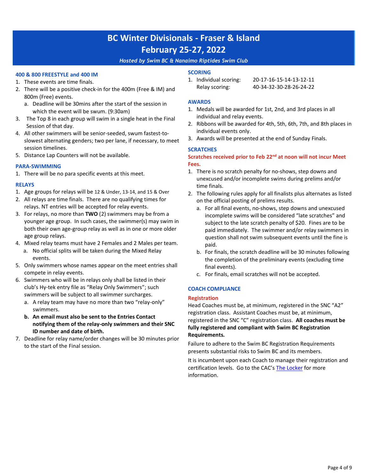#### *Hosted by Swim BC & Nanaimo Riptides Swim Club*

#### **400 & 800 FREESTYLE and 400 IM**

- 1. These events are time finals.
- 2. There will be a positive check-in for the 400m (Free & IM) and 800m (Free) events.
	- a. Deadline will be 30mins after the start of the session in which the event will be swum. (9:30am)
- 3. The Top 8 in each group will swim in a single heat in the Final Session of that day.
- 4. All other swimmers will be senior-seeded, swum fastest-toslowest alternating genders; two per lane, if necessary, to meet session timelines.
- 5. Distance Lap Counters will not be available.

#### **PARA-SWIMMING**

1. There will be no para specific events at this meet.

#### **RELAYS**

- 1. Age groups for relays will be 12 & Under, 13-14, and 15 & Over
- 2. All relays are time finals. There are no qualifying times for relays. NT entries will be accepted for relay events.
- 3. For relays, no more than **TWO** (2) swimmers may be from a younger age group. In such cases, the swimmer(s) may swim in both their own age-group relay as well as in one or more older age group relays.
- 4. Mixed relay teams must have 2 Females and 2 Males per team.
- a. No official splits will be taken during the Mixed Relay events.
- 5. Only swimmers whose names appear on the meet entries shall compete in relay events.
- 6. Swimmers who will be in relays only shall be listed in their club's Hy-tek entry file as "Relay Only Swimmers"; such swimmers will be subject to all swimmer surcharges.
	- a. A relay team may have no more than two "relay-only" swimmers.
	- **b. An email must also be sent to the Entries Contact notifying them of the relay-only swimmers and their SNC ID number and date of birth.**
- 7. Deadline for relay name/order changes will be 30 minutes prior to the start of the Final session.

**SCORING** 1. Individual scoring: 20-17-16-15-14-13-12-11 Relay scoring: 40-34-32-30-28-26-24-22

#### **AWARDS**

- 1. Medals will be awarded for 1st, 2nd, and 3rd places in all individual and relay events.
- 2. Ribbons will be awarded for 4th, 5th, 6th, 7th, and 8th places in individual events only.
- 3. Awards will be presented at the end of Sunday Finals.

#### **SCRATCHES**

#### **Scratches received prior to Feb 22nd at noon will not incur Meet Fees.**

- 1. There is no scratch penalty for no-shows, step downs and unexcused and/or incomplete swims during prelims and/or time finals.
- 2. The following rules apply for all finalists plus alternates as listed on the official posting of prelims results.
	- a. For all final events, no-shows, step downs and unexcused incomplete swims will be considered "late scratches" and subject to the late scratch penalty of \$20. Fines are to be paid immediately. The swimmer and/or relay swimmers in question shall not swim subsequent events until the fine is paid.
	- b. For finals, the scratch deadline will be 30 minutes following the completion of the preliminary events (excluding time final events).
	- c. For finals, email scratches will not be accepted.

#### **COACH COMPLIANCE**

#### **Registration**

Head Coaches must be, at minimum, registered in the SNC "A2" registration class. Assistant Coaches must be, at minimum, registered in the SNC "C" registration class. **All coaches must be fully registered and compliant with Swim BC Registration Requirements.**

Failure to adhere to the Swim BC Registration Requirements presents substantial risks to Swim BC and its members.

It is incumbent upon each Coach to manage their registration and certification levels. Go to the CAC's [The Locker](https://thelocker.coach.ca/account/login?mode=login) for more information.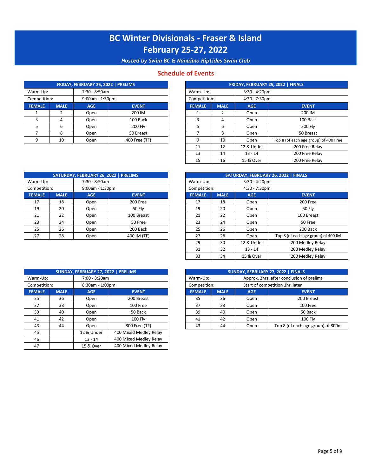*Hosted by Swim BC & Nanaimo Riptides Swim Club*

### **Schedule of Events**

|               |             | FRIDAY, FEBRUARY 25, 2022   PRELIMS |                   |  |               |             | FRIDAY, FEBRUARY 25, 2022   FINALS |
|---------------|-------------|-------------------------------------|-------------------|--|---------------|-------------|------------------------------------|
| Warm-Up:      |             |                                     | 7:30 - 8:50am     |  | Warm-Up:      |             | $3:30 - 4:20$ pm                   |
| Competition:  |             |                                     | $9:00am - 1:30pm$ |  | Competition:  |             | $4:30 - 7:30$ pm                   |
| <b>FEMALE</b> | <b>MALE</b> | <b>AGE</b>                          | <b>EVENT</b>      |  | <b>FEMALE</b> | <b>MALE</b> | <b>AGE</b>                         |
|               |             | Open                                | 200 IM            |  |               |             | Open                               |
|               | 4           | Open                                | 100 Back          |  |               |             | Open                               |
|               | 6           | Open                                | <b>200 Flv</b>    |  |               |             | Open                               |
|               | 8           | Open                                | 50 Breast         |  |               |             | Open                               |
|               | 10          | Open                                | 400 Free (TF)     |  | q             | 10          | Open                               |

|             |               | FRIDAY, FEBRUARY 25, 2022   PRELIMS |                |               |             |                  | FRIDAY, FEBRUARY 25, 2022   FINALS    |  |
|-------------|---------------|-------------------------------------|----------------|---------------|-------------|------------------|---------------------------------------|--|
| m-Up:       | 7:30 - 8:50am |                                     |                | Warm-Up:      |             | $3:30 - 4:20$ pm |                                       |  |
| npetition:  |               | $9:00am - 1:30pm$                   |                | Competition:  |             | $4:30 - 7:30$ pm |                                       |  |
| <b>AALE</b> | <b>MALE</b>   | <b>AGE</b>                          | <b>EVENT</b>   | <b>FEMALE</b> | <b>MALE</b> | <b>AGE</b>       | <b>EVENT</b>                          |  |
|             |               | Open                                | 200 IM         |               |             | Open             | 200 IM                                |  |
|             | 4             | Open                                | 100 Back       | 3             | 4           | Open             | 100 Back                              |  |
|             | 6             | Open                                | <b>200 Flv</b> |               | 6           | Open             | 200 Fly                               |  |
|             | 8             | Open                                | 50 Breast      |               | 8           | Open             | 50 Breast                             |  |
|             | 10            | Open                                | 400 Free (TF)  | q             | 10          | Open             | Top 8 (of each age group) of 400 Free |  |
|             |               |                                     |                | 11            | 12          | 12 & Under       | 200 Free Relay                        |  |
|             |               |                                     |                | 13            | 14          | $13 - 14$        | 200 Free Relay                        |  |
|             |               |                                     |                | 15            | 16          | 15 & Over        | 200 Free Relay                        |  |

| SATURDAY, FEBRUARY 26, 2022   PRELIMS |             |                   |               |  |               |             |                  | SATURDAY, FEBRUARY 26, 2022   FINALS |
|---------------------------------------|-------------|-------------------|---------------|--|---------------|-------------|------------------|--------------------------------------|
| Warm-Up:                              |             |                   | 7:30 - 8:50am |  | Warm-Up:      |             | $3:30 - 4:20$ pm |                                      |
| Competition:                          |             | $9:00am - 1:30pm$ |               |  | Competition:  |             | 4:30 - 7:30pm    |                                      |
| <b>FEMALE</b>                         | <b>MALE</b> | <b>AGE</b>        | <b>EVENT</b>  |  | <b>FEMALE</b> | <b>MALE</b> | <b>AGE</b>       | <b>EVENT</b>                         |
| 17                                    | 18          | Open              | 200 Free      |  | 17            | 18          | Open             | 200 Free                             |
| 19                                    | 20          | Open              | <b>50 Flv</b> |  | 19            | 20          | Open             | 50 Fly                               |
| 21                                    | 22          | Open              | 100 Breast    |  | 21            | 22          | Open             | 100 Breas                            |
| 23                                    | 24          | Open              | 50 Free       |  | 23            | 24          | Open             | 50 Free                              |
| 25                                    | 26          | Open              | 200 Back      |  | 25            | 26          | Open             | 200 Back                             |
| 27                                    | 28          | Open              | 400 IM (TF)   |  | 27            | 28          | Open             | Top 8 (of each age gro               |

|                         |             | SATURDAY, FEBRUARY 26, 2022   PRELIMS |               |               |                  |                  | SATURDAY, FEBRUARY 26, 2022   FINALS |
|-------------------------|-------------|---------------------------------------|---------------|---------------|------------------|------------------|--------------------------------------|
| 7:30 - 8:50am<br>rm-Up: |             |                                       | Warm-Up:      |               | $3:30 - 4:20$ pm |                  |                                      |
| npetition:              |             | $9:00am - 1:30pm$                     |               | Competition:  |                  | $4:30 - 7:30$ pm |                                      |
| <b>MALE</b>             | <b>MALE</b> | <b>AGE</b>                            | <b>EVENT</b>  | <b>FEMALE</b> | <b>MALE</b>      | <b>AGE</b>       | <b>EVENT</b>                         |
| 17                      | 18          | Open                                  | 200 Free      | 17            | 18               | Open             | 200 Free                             |
| 19                      | 20          | Open                                  | <b>50 Fly</b> | 19            | 20               | Open             | <b>50 Fly</b>                        |
| 21                      | 22          | Open                                  | 100 Breast    | 21            | 22               | Open             | 100 Breast                           |
| 23                      | 24          | Open                                  | 50 Free       | 23            | 24               | Open             | 50 Free                              |
| 25                      | 26          | Open                                  | 200 Back      | 25            | 26               | Open             | 200 Back                             |
| 27                      | 28          | Open                                  | 400 IM (TF)   | 27            | 28               | Open             | Top 8 (of each age group) of 400 IM  |
|                         |             |                                       |               | 29            | 30               | 12 & Under       | 200 Medley Relay                     |
|                         |             |                                       |               | 31            | 32               | $13 - 14$        | 200 Medley Relay                     |
|                         |             |                                       |               | 33            | 34               | 15 & Over        | 200 Medley Relay                     |

|                           |             | SUNDAY, FEBRUARY 27, 2022   PRELIMS |                        |                                           |               |             |            | SUNDAY, FEBRUARY 27, 2022   FINALS |
|---------------------------|-------------|-------------------------------------|------------------------|-------------------------------------------|---------------|-------------|------------|------------------------------------|
| 7:00 - 8:20am<br>Warm-Up: |             | Warm-Up:                            |                        | Approx. 2hrs. after conclusion of prelims |               |             |            |                                    |
| Competition:              |             | 8:30am - 1:00pm                     |                        |                                           | Competition:  |             |            | Start of competition 1hr. later    |
| <b>FEMALE</b>             | <b>MALE</b> | <b>AGE</b>                          | <b>EVENT</b>           |                                           | <b>FEMALE</b> | <b>MALE</b> | <b>AGE</b> | <b>EVENT</b>                       |
| 35                        | 36          | Open                                | 200 Breast             |                                           | 35            | 36          | Open       | 200 Breast                         |
| 37                        | 38          | Open                                | 100 Free               |                                           | 37            | 38          | Open       | 100 Free                           |
| 39                        | 40          | Open                                | 50 Back                |                                           | 39            | 40          | Open       | 50 Back                            |
| 41                        | 42          | Open                                | <b>100 Flv</b>         |                                           | 41            | 42          | Open       | 100 Fly                            |
| 43                        | 44          | Open                                | 800 Free (TF)          |                                           | 43            | 44          | Open       | Top 8 (of each age group           |
| 45                        |             | 12 & Under                          | 400 Mixed Medley Relay |                                           |               |             |            |                                    |
| 46                        |             | 13 - 14                             | 400 Mixed Medley Relay |                                           |               |             |            |                                    |
| 47                        |             | 15 & Over                           | 400 Mixed Medley Relay |                                           |               |             |            |                                    |

| SUNDAY, FEBRUARY 27, 2022   PRELIMS |               |                 |                |          |               | SUNDAY, FEBRUARY 27, 2022   FINALS        |                                 |                                   |  |
|-------------------------------------|---------------|-----------------|----------------|----------|---------------|-------------------------------------------|---------------------------------|-----------------------------------|--|
| rm-Up:                              | 7:00 - 8:20am |                 |                | Warm-Up: |               | Approx. 2hrs. after conclusion of prelims |                                 |                                   |  |
| npetition:                          |               | 8:30am - 1:00pm |                |          | Competition:  |                                           | Start of competition 1hr. later |                                   |  |
| <b>MALE</b>                         | <b>MALE</b>   | AGE.            | <b>EVENT</b>   |          | <b>FEMALE</b> | <b>MALE</b>                               |                                 | <b>EVENT</b>                      |  |
| 35                                  | 36            | Open            | 200 Breast     |          | 35            | 36                                        | Open                            | 200 Breast                        |  |
| 37                                  | 38            | Open            | 100 Free       |          | 37            | 38                                        | Open                            | 100 Free                          |  |
| 39                                  | 40            | Open            | 50 Back        |          | 39            | 40                                        | Open                            | 50 Back                           |  |
| 41                                  | 42            | Open            | <b>100 Flv</b> |          | 41            | 42                                        | Open                            | <b>100 Flv</b>                    |  |
| 43                                  | 44            | Open            | 800 Free (TF)  |          | 43            | 44                                        | Open                            | Top 8 (of each age group) of 800m |  |
|                                     |               |                 |                |          |               |                                           |                                 |                                   |  |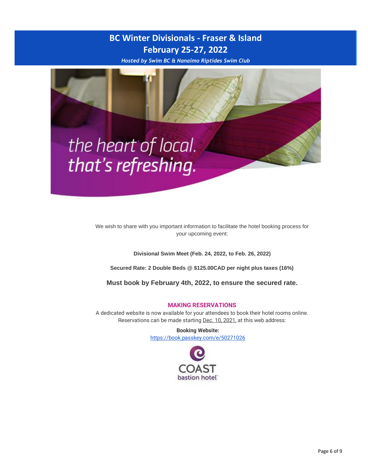*Hosted by Swim BC & Nanaimo Riptides Swim Club*



We wish to share with you important information to facilitate the hotel booking process for your upcoming event:

**Divisional Swim Meet (Feb. 24, 2022, to Feb. 26, 2022)**

**Secured Rate: 2 Double Beds @ \$125.00CAD per night plus taxes (16%)**

**Must book by February 4th, 2022, to ensure the secured rate.**

#### **MAKING RESERVATIONS**

A dedicated website is now available for your attendees to book their hotel rooms online. Reservations can be made starting Dec. 10, 2021, at this web address:

> **Booking Website:** <https://book.passkey.com/e/50271026>

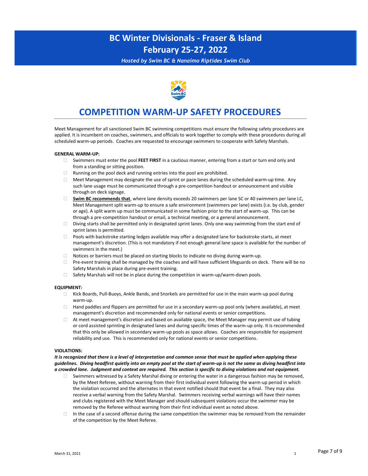*Hosted by Swim BC & Nanaimo Riptides Swim Club*



### **COMPETITION WARM-UP SAFETY PROCEDURES**

Meet Management for all sanctioned Swim BC swimming competitions must ensure the following safety procedures are applied. It is incumbent on coaches, swimmers, and officials to work together to comply with these procedures during all scheduled warm-up periods. Coaches are requested to encourage swimmers to cooperate with Safety Marshals.

#### **GENERAL WARM-UP:**

- Swimmers must enter the pool **FEET FIRST** in a cautious manner, entering from a start or turn end only and from a standing or sitting position.
- $\Box$  Running on the pool deck and running entries into the pool are prohibited.
- $\Box$  Meet Management may designate the use of sprint or pace lanes during the scheduled warm-up time. Any such lane usage must be communicated through a pre-competition handout or announcement and visible through on deck signage.
- **Swim BC recommends that**, where lane density exceeds 20 swimmers per lane SC or 40 swimmers per lane LC, Meet Management split warm-up to ensure a safe environment (swimmers per lane) exists (i.e. by club, gender or age). A split warm up must be communicated in some fashion prior to the start of warm-up. This can be through a pre-competition handout or email, a technical meeting, or a general announcement.
- $\Box$  Diving starts shall be permitted only in designated sprint lanes. Only one-way swimming from the start end of sprint lanes is permitted.
- $\Box$  Pools with backstroke starting ledges available may offer a designated lane for backstroke starts, at meet management's discretion. (This is not mandatory if not enough general lane space is available for the number of swimmers in the meet.)
- $\Box$  Notices or barriers must be placed on starting blocks to indicate no diving during warm-up.
- $\Box$  Pre-event training shall be managed by the coaches and will have sufficient lifeguards on deck. There will be no Safety Marshals in place during pre-event training.
- Safety Marshals will not be in place during the competition in warm-up/warm-down pools.

#### **EQUIPMENT:**

- Kick Boards, Pull-Buoys, Ankle Bands, and Snorkels are permitted for use in the main warm-up pool during warm-up.
- $\Box$  Hand paddles and flippers are permitted for use in a secondary warm-up pool only (where available), at meet management's discretion and recommended only for national events or senior competitions.
- $\Box$  At meet management's discretion and based on available space, the Meet Manager may permit use of tubing or cord assisted sprinting in designated lanes and during specific times of the warm-up only. It is recommended that this only be allowed in secondary warm-up pools as space allows. Coaches are responsible for equipment reliability and use. This is recommended only for national events or senior competitions.

#### **VIOLATIONS:**

*It is recognized that there is a level of interpretation and common sense that must be applied when applying these guidelines. Diving headfirst quietly into an empty pool at the start of warm-up is not the same as diving headfirst into a crowded lane. Judgment and context are required. This section is specific to diving violations and not equipment.*

- $\Box$  Swimmers witnessed by a Safety Marshal diving or entering the water in a dangerous fashion may be removed, by the Meet Referee, without warning from their first individual event following the warm-up period in which the violation occurred and the alternates in that event notified should that event be a final. They may also receive a verbal warning from the Safety Marshal. Swimmers receiving verbal warnings will have their names and clubs registered with the Meet Manager and should subsequent violations occur the swimmer may be removed by the Referee without warning from their first individual event as noted above.
- In the case of a second offense during the same competition the swimmer may be removed from the remainder of the competition by the Meet Referee.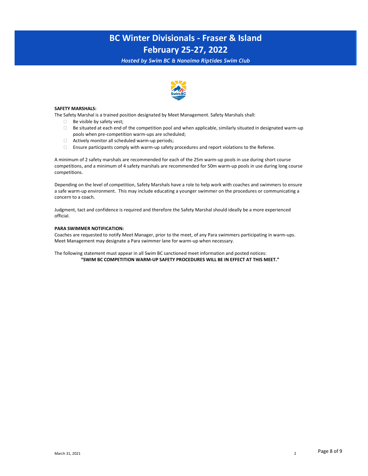*Hosted by Swim BC & Nanaimo Riptides Swim Club*



#### **SAFETY MARSHALS:**

The Safety Marshal is a trained position designated by Meet Management. Safety Marshals shall:

- $\Box$  Be visible by safety vest;
- $\Box$  Be situated at each end of the competition pool and when applicable, similarly situated in designated warm-up pools when pre-competition warm-ups are scheduled;
- $\Box$  Actively monitor all scheduled warm-up periods;
- $\Box$  Ensure participants comply with warm-up safety procedures and report violations to the Referee.

A minimum of 2 safety marshals are recommended for each of the 25m warm-up pools in use during short course competitions, and a minimum of 4 safety marshals are recommended for 50m warm-up pools in use during long course competitions.

Depending on the level of competition, Safety Marshals have a role to help work with coaches and swimmers to ensure a safe warm-up environment. This may include educating a younger swimmer on the procedures or communicating a concern to a coach.

Judgment, tact and confidence is required and therefore the Safety Marshal should ideally be a more experienced official.

#### **PARA SWIMMER NOTIFICATION:**

Coaches are requested to notify Meet Manager, prior to the meet, of any Para swimmers participating in warm-ups. Meet Management may designate a Para swimmer lane for warm-up when necessary.

The following statement must appear in all Swim BC sanctioned meet information and posted notices: **"SWIM BC COMPETITION WARM-UP SAFETY PROCEDURES WILL BE IN EFFECT AT THIS MEET."**